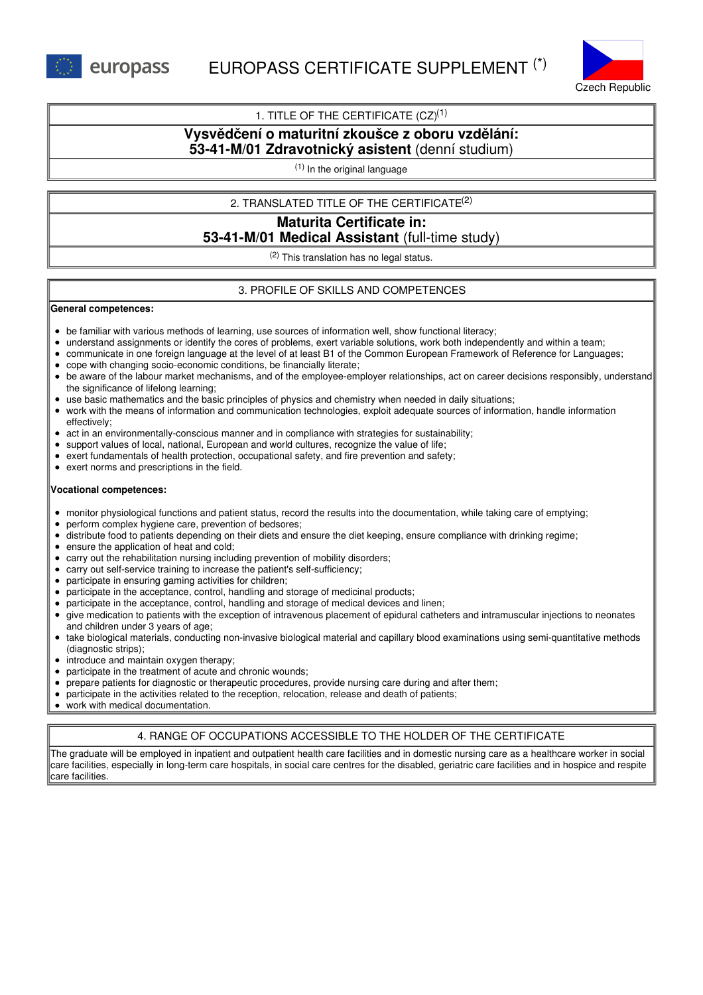

## 1. TITLE OF THE CERTIFICATE  $(CZ)^{(1)}$

## **Vysvědčení o maturitní zkoušce z oboru vzdělání: 53-41-M/01 Zdravotnický asistent** (denní studium)

(1) In the original language

## 2. TRANSLATED TITLE OF THE CERTIFICATE (2)

# **Maturita Certificate in: 53-41-M/01 Medical Assistant** (full-time study)

 $(2)$  This translation has no legal status.

## 3. PROFILE OF SKILLS AND COMPETENCES

#### **General competences:**

- be familiar with various methods of learning, use sources of information well, show functional literacy;
- understand assignments or identify the cores of problems, exert variable solutions, work both independently and within a team;
- communicate in one foreign language at the level of at least B1 of the Common European Framework of Reference for Languages;
- cope with changing socio-economic conditions, be financially literate;
- be aware of the labour market mechanisms, and of the employee-employer relationships, act on career decisions responsibly, understand the significance of lifelong learning;
- use basic mathematics and the basic principles of physics and chemistry when needed in daily situations;
- work with the means of information and communication technologies, exploit adequate sources of information, handle information effectively;
- $\bullet$ act in an environmentally-conscious manner and in compliance with strategies for sustainability;
- support values of local, national, European and world cultures, recognize the value of life;
- exert fundamentals of health protection, occupational safety, and fire prevention and safety;
- exert norms and prescriptions in the field.

#### **Vocational competences:**

- monitor physiological functions and patient status, record the results into the documentation, while taking care of emptying;
- perform complex hygiene care, prevention of bedsores;
- distribute food to patients depending on their diets and ensure the diet keeping, ensure compliance with drinking regime;  $\bullet$
- ensure the application of heat and cold;
- carry out the rehabilitation nursing including prevention of mobility disorders;
- carry out self-service training to increase the patient's self-sufficiency;
- participate in ensuring gaming activities for children;
- participate in the acceptance, control, handling and storage of medicinal products;
- participate in the acceptance, control, handling and storage of medical devices and linen;
- give medication to patients with the exception of intravenous placement of epidural catheters and intramuscular injections to neonates and children under 3 years of age;
- take biological materials, conducting non-invasive biological material and capillary blood examinations using semi-quantitative methods (diagnostic strips);
- introduce and maintain oxygen therapy;
- participate in the treatment of acute and chronic wounds;
- prepare patients for diagnostic or therapeutic procedures, provide nursing care during and after them;
- participate in the activities related to the reception, relocation, release and death of patients;
- work with medical documentation.

## 4. RANGE OF OCCUPATIONS ACCESSIBLE TO THE HOLDER OF THE CERTIFICATE

The graduate will be employed in inpatient and outpatient health care facilities and in domestic nursing care as a healthcare worker in social care facilities, especially in long-term care hospitals, in social care centres for the disabled, geriatric care facilities and in hospice and respite care facilities.